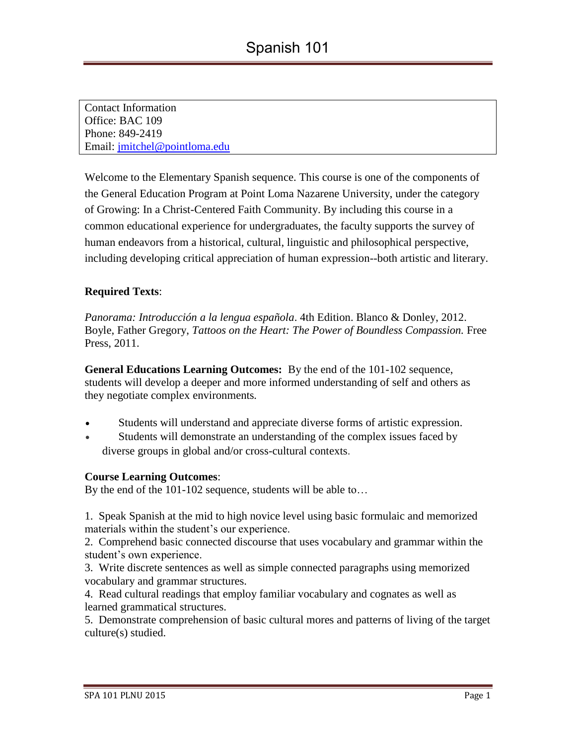| <b>Contact Information</b>    |  |
|-------------------------------|--|
| Office: BAC 109               |  |
| Phone: 849-2419               |  |
| Email: jmitchel@pointloma.edu |  |

Welcome to the Elementary Spanish sequence. This course is one of the components of the General Education Program at Point Loma Nazarene University, under the category of Growing: In a Christ-Centered Faith Community. By including this course in a common educational experience for undergraduates, the faculty supports the survey of human endeavors from a historical, cultural, linguistic and philosophical perspective, including developing critical appreciation of human expression--both artistic and literary.

## **Required Texts**:

*Panorama: Introducción a la lengua española*. 4th Edition. Blanco & Donley, 2012. Boyle, Father Gregory, *Tattoos on the Heart: The Power of Boundless Compassion.* Free Press, 2011.

**General Educations Learning Outcomes:** By the end of the 101-102 sequence, students will develop a deeper and more informed understanding of self and others as they negotiate complex environments*.*

- Students will understand and appreciate diverse forms of artistic expression.
- Students will demonstrate an understanding of the complex issues faced by diverse groups in global and/or cross-cultural contexts.

#### **Course Learning Outcomes**:

By the end of the 101-102 sequence, students will be able to…

1. Speak Spanish at the mid to high novice level using basic formulaic and memorized materials within the student's our experience.

2. Comprehend basic connected discourse that uses vocabulary and grammar within the student's own experience.

3. Write discrete sentences as well as simple connected paragraphs using memorized vocabulary and grammar structures.

4. Read cultural readings that employ familiar vocabulary and cognates as well as learned grammatical structures.

5. Demonstrate comprehension of basic cultural mores and patterns of living of the target culture(s) studied.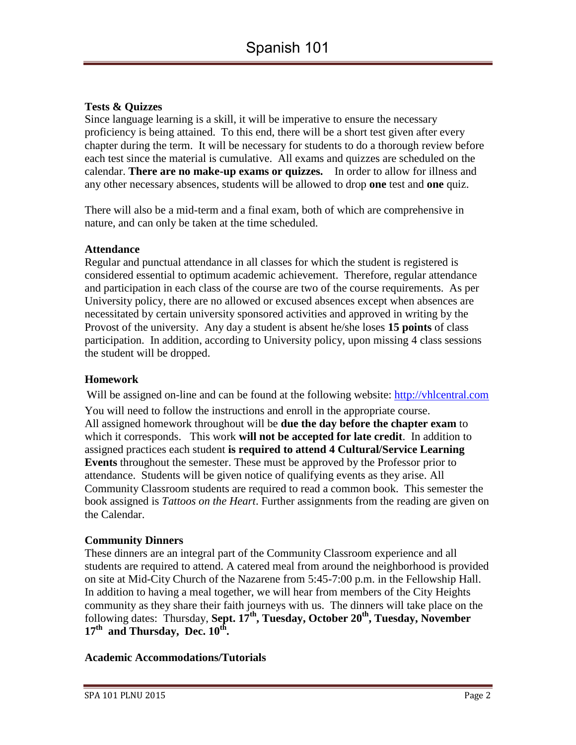# **Tests & Quizzes**

Since language learning is a skill, it will be imperative to ensure the necessary proficiency is being attained. To this end, there will be a short test given after every chapter during the term. It will be necessary for students to do a thorough review before each test since the material is cumulative. All exams and quizzes are scheduled on the calendar. **There are no make-up exams or quizzes.** In order to allow for illness and any other necessary absences, students will be allowed to drop **one** test and **one** quiz.

There will also be a mid-term and a final exam, both of which are comprehensive in nature, and can only be taken at the time scheduled.

### **Attendance**

Regular and punctual attendance in all classes for which the student is registered is considered essential to optimum academic achievement. Therefore, regular attendance and participation in each class of the course are two of the course requirements. As per University policy, there are no allowed or excused absences except when absences are necessitated by certain university sponsored activities and approved in writing by the Provost of the university. Any day a student is absent he/she loses **15 points** of class participation. In addition, according to University policy, upon missing 4 class sessions the student will be dropped.

## **Homework**

Will be assigned on-line and can be found at the following website: [http://vhlcentral.com](http://vhlcentral.com/) You will need to follow the instructions and enroll in the appropriate course. All assigned homework throughout will be **due the day before the chapter exam** to which it corresponds. This work **will not be accepted for late credit**. In addition to assigned practices each student **is required to attend 4 Cultural/Service Learning Events** throughout the semester. These must be approved by the Professor prior to attendance. Students will be given notice of qualifying events as they arise. All Community Classroom students are required to read a common book. This semester the book assigned is *Tattoos on the Heart*. Further assignments from the reading are given on the Calendar.

## **Community Dinners**

These dinners are an integral part of the Community Classroom experience and all students are required to attend. A catered meal from around the neighborhood is provided on site at Mid-City Church of the Nazarene from 5:45-7:00 p.m. in the Fellowship Hall. In addition to having a meal together, we will hear from members of the City Heights community as they share their faith journeys with us. The dinners will take place on the following dates: Thursday, Sept. 17<sup>th</sup>, Tuesday, October 20<sup>th</sup>, Tuesday, November **17th and Thursday, Dec. 10th .**

#### **Academic Accommodations/Tutorials**